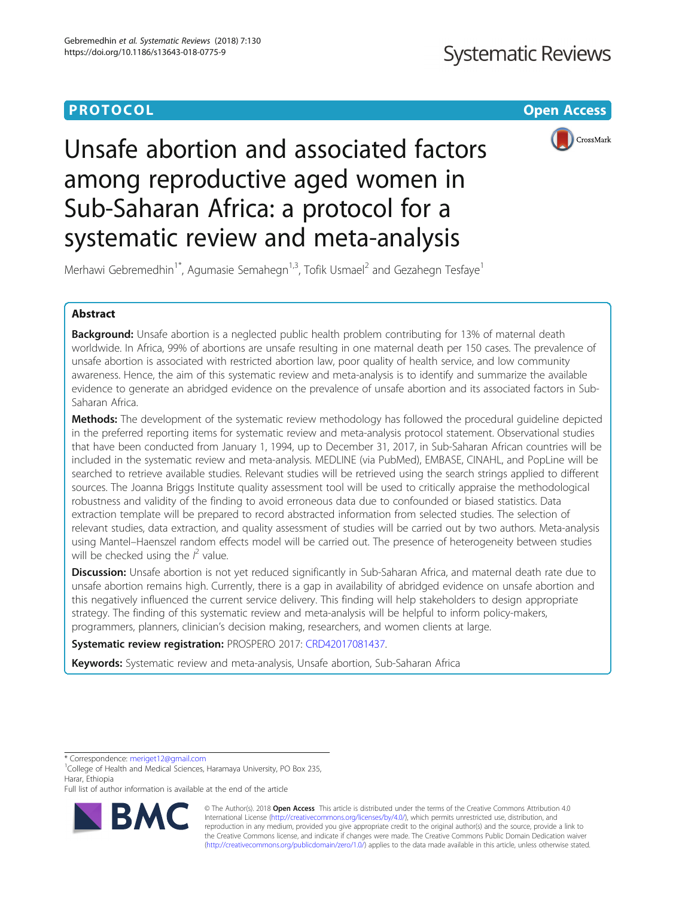# **PROTOCOL CONSUMING THE CONSUMING TEACHER CONSUMING THE CONSUMING TEACHER CONSUMING THE CONSUMING TEACHER CONSUMING THE CONSUMING TEACHER CONSUMING THE CONSUMING TEACHER CONSUMING THE CONSUMING TEACHER CONSUMING THE CONS**



Unsafe abortion and associated factors among reproductive aged women in Sub-Saharan Africa: a protocol for a systematic review and meta-analysis

Merhawi Gebremedhin<sup>1\*</sup>, Agumasie Semahegn<sup>1,3</sup>, Tofik Usmael<sup>2</sup> and Gezahegn Tesfaye<sup>1</sup>

## Abstract

Background: Unsafe abortion is a neglected public health problem contributing for 13% of maternal death worldwide. In Africa, 99% of abortions are unsafe resulting in one maternal death per 150 cases. The prevalence of unsafe abortion is associated with restricted abortion law, poor quality of health service, and low community awareness. Hence, the aim of this systematic review and meta-analysis is to identify and summarize the available evidence to generate an abridged evidence on the prevalence of unsafe abortion and its associated factors in Sub-Saharan Africa.

Methods: The development of the systematic review methodology has followed the procedural guideline depicted in the preferred reporting items for systematic review and meta-analysis protocol statement. Observational studies that have been conducted from January 1, 1994, up to December 31, 2017, in Sub-Saharan African countries will be included in the systematic review and meta-analysis. MEDLINE (via PubMed), EMBASE, CINAHL, and PopLine will be searched to retrieve available studies. Relevant studies will be retrieved using the search strings applied to different sources. The Joanna Briggs Institute quality assessment tool will be used to critically appraise the methodological robustness and validity of the finding to avoid erroneous data due to confounded or biased statistics. Data extraction template will be prepared to record abstracted information from selected studies. The selection of relevant studies, data extraction, and quality assessment of studies will be carried out by two authors. Meta-analysis using Mantel–Haenszel random effects model will be carried out. The presence of heterogeneity between studies will be checked using the  $l^2$  value.

**Discussion:** Unsafe abortion is not yet reduced significantly in Sub-Saharan Africa, and maternal death rate due to unsafe abortion remains high. Currently, there is a gap in availability of abridged evidence on unsafe abortion and this negatively influenced the current service delivery. This finding will help stakeholders to design appropriate strategy. The finding of this systematic review and meta-analysis will be helpful to inform policy-makers, programmers, planners, clinician's decision making, researchers, and women clients at large.

## Systematic review registration: PROSPERO 2017: [CRD42017081437](https://www.crd.york.ac.uk/prospero/display_record.php?RecordID=81437).

Keywords: Systematic review and meta-analysis, Unsafe abortion, Sub-Saharan Africa

\* Correspondence: [meriget12@gmail.com](mailto:meriget12@gmail.com) <sup>1</sup>

<sup>1</sup>College of Health and Medical Sciences, Haramaya University, PO Box 235, Harar, Ethiopia

Full list of author information is available at the end of the article



© The Author(s). 2018 Open Access This article is distributed under the terms of the Creative Commons Attribution 4.0 International License [\(http://creativecommons.org/licenses/by/4.0/](http://creativecommons.org/licenses/by/4.0/)), which permits unrestricted use, distribution, and reproduction in any medium, provided you give appropriate credit to the original author(s) and the source, provide a link to the Creative Commons license, and indicate if changes were made. The Creative Commons Public Domain Dedication waiver [\(http://creativecommons.org/publicdomain/zero/1.0/](http://creativecommons.org/publicdomain/zero/1.0/)) applies to the data made available in this article, unless otherwise stated.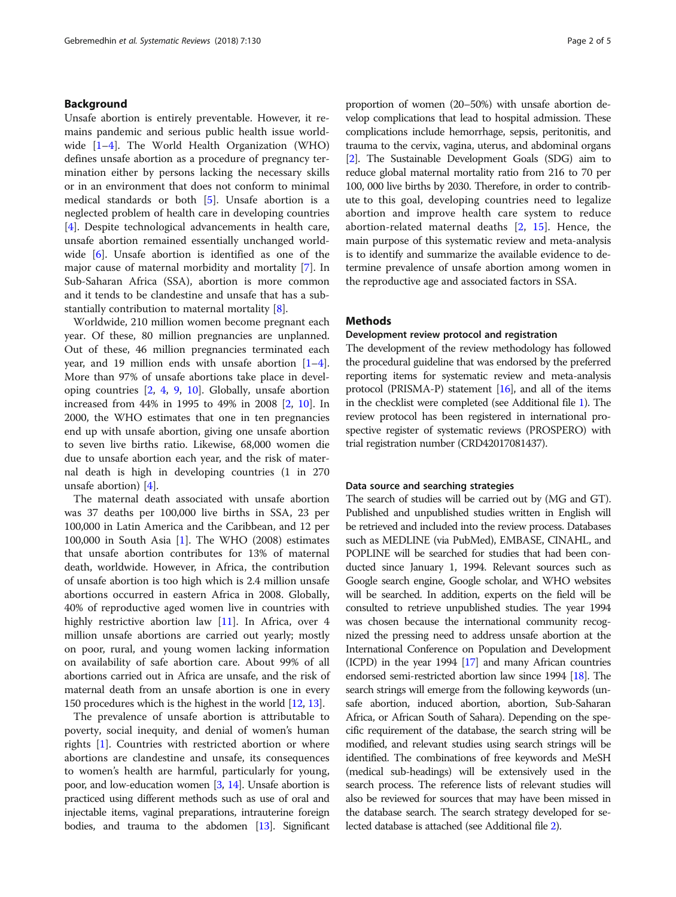## Background

Unsafe abortion is entirely preventable. However, it remains pandemic and serious public health issue worldwide [[1](#page-4-0)–[4\]](#page-4-0). The World Health Organization (WHO) defines unsafe abortion as a procedure of pregnancy termination either by persons lacking the necessary skills or in an environment that does not conform to minimal medical standards or both [[5](#page-4-0)]. Unsafe abortion is a neglected problem of health care in developing countries [[4\]](#page-4-0). Despite technological advancements in health care, unsafe abortion remained essentially unchanged worldwide [\[6](#page-4-0)]. Unsafe abortion is identified as one of the major cause of maternal morbidity and mortality [[7\]](#page-4-0). In Sub-Saharan Africa (SSA), abortion is more common and it tends to be clandestine and unsafe that has a substantially contribution to maternal mortality [[8\]](#page-4-0).

Worldwide, 210 million women become pregnant each year. Of these, 80 million pregnancies are unplanned. Out of these, 46 million pregnancies terminated each year, and 19 million ends with unsafe abortion  $[1-4]$  $[1-4]$  $[1-4]$  $[1-4]$ . More than 97% of unsafe abortions take place in developing countries [[2,](#page-4-0) [4](#page-4-0), [9](#page-4-0), [10\]](#page-4-0). Globally, unsafe abortion increased from 44% in 1995 to 49% in 2008 [[2](#page-4-0), [10](#page-4-0)]. In 2000, the WHO estimates that one in ten pregnancies end up with unsafe abortion, giving one unsafe abortion to seven live births ratio. Likewise, 68,000 women die due to unsafe abortion each year, and the risk of maternal death is high in developing countries (1 in 270 unsafe abortion) [[4\]](#page-4-0).

The maternal death associated with unsafe abortion was 37 deaths per 100,000 live births in SSA, 23 per 100,000 in Latin America and the Caribbean, and 12 per 100,000 in South Asia [\[1](#page-4-0)]. The WHO (2008) estimates that unsafe abortion contributes for 13% of maternal death, worldwide. However, in Africa, the contribution of unsafe abortion is too high which is 2.4 million unsafe abortions occurred in eastern Africa in 2008. Globally, 40% of reproductive aged women live in countries with highly restrictive abortion law [\[11\]](#page-4-0). In Africa, over 4 million unsafe abortions are carried out yearly; mostly on poor, rural, and young women lacking information on availability of safe abortion care. About 99% of all abortions carried out in Africa are unsafe, and the risk of maternal death from an unsafe abortion is one in every 150 procedures which is the highest in the world [\[12,](#page-4-0) [13](#page-4-0)].

The prevalence of unsafe abortion is attributable to poverty, social inequity, and denial of women's human rights [[1\]](#page-4-0). Countries with restricted abortion or where abortions are clandestine and unsafe, its consequences to women's health are harmful, particularly for young, poor, and low-education women [\[3,](#page-4-0) [14](#page-4-0)]. Unsafe abortion is practiced using different methods such as use of oral and injectable items, vaginal preparations, intrauterine foreign bodies, and trauma to the abdomen [\[13](#page-4-0)]. Significant

proportion of women (20–50%) with unsafe abortion develop complications that lead to hospital admission. These complications include hemorrhage, sepsis, peritonitis, and trauma to the cervix, vagina, uterus, and abdominal organs [[2](#page-4-0)]. The Sustainable Development Goals (SDG) aim to reduce global maternal mortality ratio from 216 to 70 per 100, 000 live births by 2030. Therefore, in order to contribute to this goal, developing countries need to legalize abortion and improve health care system to reduce abortion-related maternal deaths [\[2,](#page-4-0) [15\]](#page-4-0). Hence, the main purpose of this systematic review and meta-analysis is to identify and summarize the available evidence to determine prevalence of unsafe abortion among women in the reproductive age and associated factors in SSA.

## **Methods**

## Development review protocol and registration

The development of the review methodology has followed the procedural guideline that was endorsed by the preferred reporting items for systematic review and meta-analysis protocol (PRISMA-P) statement [\[16\]](#page-4-0), and all of the items in the checklist were completed (see Additional file [1\)](#page-3-0). The review protocol has been registered in international prospective register of systematic reviews (PROSPERO) with trial registration number (CRD42017081437).

#### Data source and searching strategies

The search of studies will be carried out by (MG and GT). Published and unpublished studies written in English will be retrieved and included into the review process. Databases such as MEDLINE (via PubMed), EMBASE, CINAHL, and POPLINE will be searched for studies that had been conducted since January 1, 1994. Relevant sources such as Google search engine, Google scholar, and WHO websites will be searched. In addition, experts on the field will be consulted to retrieve unpublished studies. The year 1994 was chosen because the international community recognized the pressing need to address unsafe abortion at the International Conference on Population and Development (ICPD) in the year 1994 [[17](#page-4-0)] and many African countries endorsed semi-restricted abortion law since 1994 [\[18\]](#page-4-0). The search strings will emerge from the following keywords (unsafe abortion, induced abortion, abortion, Sub-Saharan Africa, or African South of Sahara). Depending on the specific requirement of the database, the search string will be modified, and relevant studies using search strings will be identified. The combinations of free keywords and MeSH (medical sub-headings) will be extensively used in the search process. The reference lists of relevant studies will also be reviewed for sources that may have been missed in the database search. The search strategy developed for selected database is attached (see Additional file [2\)](#page-3-0).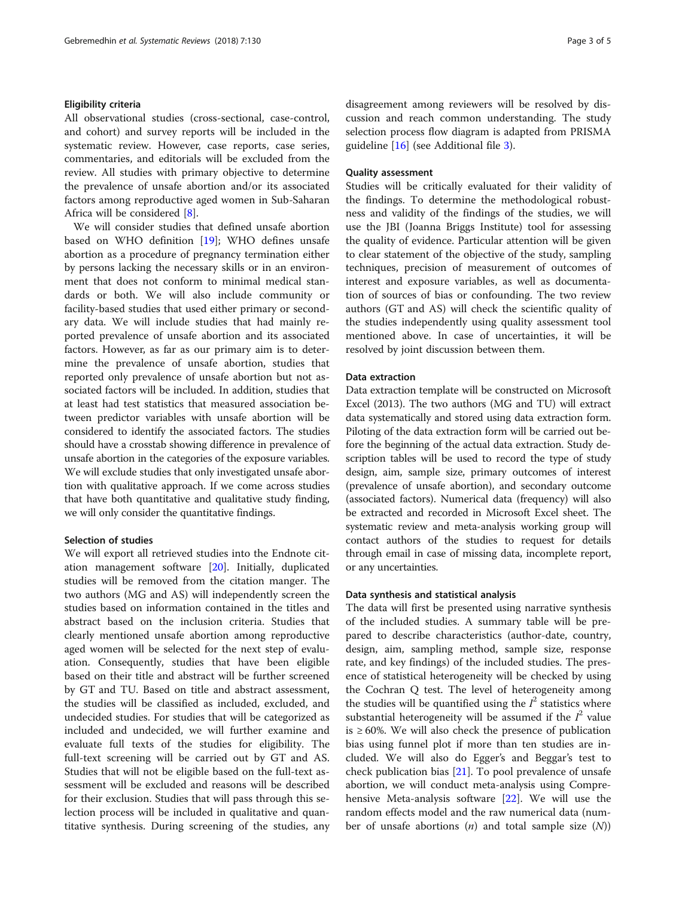## Eligibility criteria

All observational studies (cross-sectional, case-control, and cohort) and survey reports will be included in the systematic review. However, case reports, case series, commentaries, and editorials will be excluded from the review. All studies with primary objective to determine the prevalence of unsafe abortion and/or its associated factors among reproductive aged women in Sub-Saharan Africa will be considered [[8\]](#page-4-0).

We will consider studies that defined unsafe abortion based on WHO definition [\[19](#page-4-0)]; WHO defines unsafe abortion as a procedure of pregnancy termination either by persons lacking the necessary skills or in an environment that does not conform to minimal medical standards or both. We will also include community or facility-based studies that used either primary or secondary data. We will include studies that had mainly reported prevalence of unsafe abortion and its associated factors. However, as far as our primary aim is to determine the prevalence of unsafe abortion, studies that reported only prevalence of unsafe abortion but not associated factors will be included. In addition, studies that at least had test statistics that measured association between predictor variables with unsafe abortion will be considered to identify the associated factors. The studies should have a crosstab showing difference in prevalence of unsafe abortion in the categories of the exposure variables. We will exclude studies that only investigated unsafe abortion with qualitative approach. If we come across studies that have both quantitative and qualitative study finding, we will only consider the quantitative findings.

### Selection of studies

We will export all retrieved studies into the Endnote citation management software [[20\]](#page-4-0). Initially, duplicated studies will be removed from the citation manger. The two authors (MG and AS) will independently screen the studies based on information contained in the titles and abstract based on the inclusion criteria. Studies that clearly mentioned unsafe abortion among reproductive aged women will be selected for the next step of evaluation. Consequently, studies that have been eligible based on their title and abstract will be further screened by GT and TU. Based on title and abstract assessment, the studies will be classified as included, excluded, and undecided studies. For studies that will be categorized as included and undecided, we will further examine and evaluate full texts of the studies for eligibility. The full-text screening will be carried out by GT and AS. Studies that will not be eligible based on the full-text assessment will be excluded and reasons will be described for their exclusion. Studies that will pass through this selection process will be included in qualitative and quantitative synthesis. During screening of the studies, any disagreement among reviewers will be resolved by discussion and reach common understanding. The study selection process flow diagram is adapted from PRISMA guideline  $[16]$  $[16]$  (see Additional file [3\)](#page-3-0).

### Quality assessment

Studies will be critically evaluated for their validity of the findings. To determine the methodological robustness and validity of the findings of the studies, we will use the JBI (Joanna Briggs Institute) tool for assessing the quality of evidence. Particular attention will be given to clear statement of the objective of the study, sampling techniques, precision of measurement of outcomes of interest and exposure variables, as well as documentation of sources of bias or confounding. The two review authors (GT and AS) will check the scientific quality of the studies independently using quality assessment tool mentioned above. In case of uncertainties, it will be resolved by joint discussion between them.

### Data extraction

Data extraction template will be constructed on Microsoft Excel (2013). The two authors (MG and TU) will extract data systematically and stored using data extraction form. Piloting of the data extraction form will be carried out before the beginning of the actual data extraction. Study description tables will be used to record the type of study design, aim, sample size, primary outcomes of interest (prevalence of unsafe abortion), and secondary outcome (associated factors). Numerical data (frequency) will also be extracted and recorded in Microsoft Excel sheet. The systematic review and meta-analysis working group will contact authors of the studies to request for details through email in case of missing data, incomplete report, or any uncertainties.

## Data synthesis and statistical analysis

The data will first be presented using narrative synthesis of the included studies. A summary table will be prepared to describe characteristics (author-date, country, design, aim, sampling method, sample size, response rate, and key findings) of the included studies. The presence of statistical heterogeneity will be checked by using the Cochran Q test. The level of heterogeneity among the studies will be quantified using the  $I^2$  statistics where substantial heterogeneity will be assumed if the  $I^2$  value is ≥ 60%. We will also check the presence of publication bias using funnel plot if more than ten studies are included. We will also do Egger's and Beggar's test to check publication bias [[21\]](#page-4-0). To pool prevalence of unsafe abortion, we will conduct meta-analysis using Comprehensive Meta-analysis software [\[22](#page-4-0)]. We will use the random effects model and the raw numerical data (number of unsafe abortions  $(n)$  and total sample size  $(N)$ )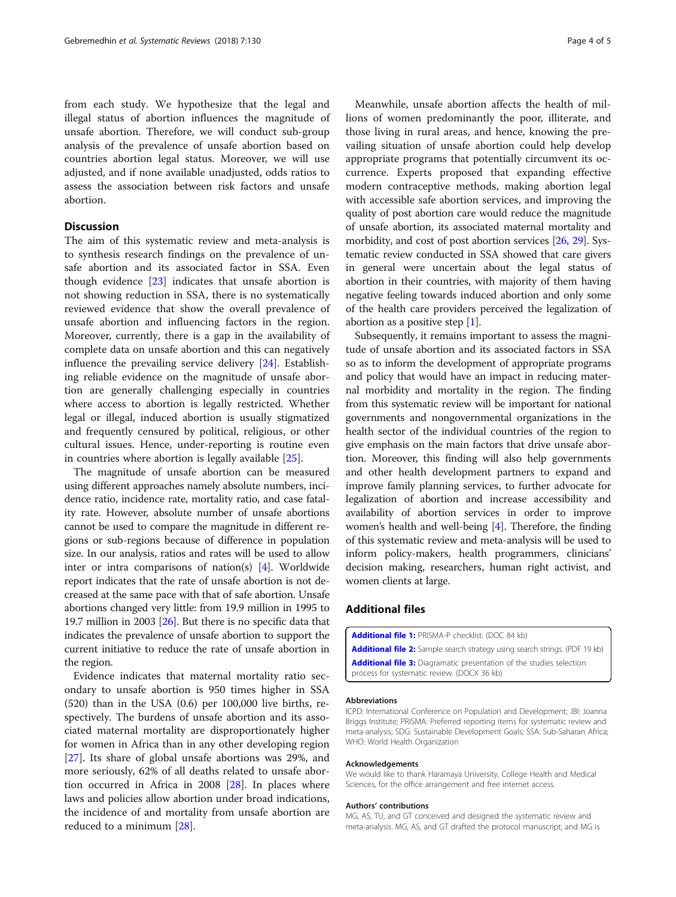<span id="page-3-0"></span>from each study. We hypothesize that the legal and illegal status of abortion influences the magnitude of unsafe abortion. Therefore, we will conduct sub-group analysis of the prevalence of unsafe abortion based on countries abortion legal status. Moreover, we will use adjusted, and if none available unadjusted, odds ratios to assess the association between risk factors and unsafe abortion.

## **Discussion**

The aim of this systematic review and meta-analysis is to synthesis research findings on the prevalence of unsafe abortion and its associated factor in SSA. Even though evidence [\[23\]](#page-4-0) indicates that unsafe abortion is not showing reduction in SSA, there is no systematically reviewed evidence that show the overall prevalence of unsafe abortion and influencing factors in the region. Moreover, currently, there is a gap in the availability of complete data on unsafe abortion and this can negatively influence the prevailing service delivery [\[24](#page-4-0)]. Establishing reliable evidence on the magnitude of unsafe abortion are generally challenging especially in countries where access to abortion is legally restricted. Whether legal or illegal, induced abortion is usually stigmatized and frequently censured by political, religious, or other cultural issues. Hence, under-reporting is routine even in countries where abortion is legally available [\[25\]](#page-4-0).

The magnitude of unsafe abortion can be measured using different approaches namely absolute numbers, incidence ratio, incidence rate, mortality ratio, and case fatality rate. However, absolute number of unsafe abortions cannot be used to compare the magnitude in different regions or sub-regions because of difference in population size. In our analysis, ratios and rates will be used to allow inter or intra comparisons of nation(s) [[4\]](#page-4-0). Worldwide report indicates that the rate of unsafe abortion is not decreased at the same pace with that of safe abortion. Unsafe abortions changed very little: from 19.9 million in 1995 to 19.7 million in 2003 [[26\]](#page-4-0). But there is no specific data that indicates the prevalence of unsafe abortion to support the current initiative to reduce the rate of unsafe abortion in the region.

Evidence indicates that maternal mortality ratio secondary to unsafe abortion is 950 times higher in SSA (520) than in the USA (0.6) per 100,000 live births, respectively. The burdens of unsafe abortion and its associated maternal mortality are disproportionately higher for women in Africa than in any other developing region [[27\]](#page-4-0). Its share of global unsafe abortions was 29%, and more seriously, 62% of all deaths related to unsafe abortion occurred in Africa in 2008 [\[28](#page-4-0)]. In places where laws and policies allow abortion under broad indications, the incidence of and mortality from unsafe abortion are reduced to a minimum [\[28](#page-4-0)].

Meanwhile, unsafe abortion affects the health of millions of women predominantly the poor, illiterate, and those living in rural areas, and hence, knowing the prevailing situation of unsafe abortion could help develop appropriate programs that potentially circumvent its occurrence. Experts proposed that expanding effective modern contraceptive methods, making abortion legal with accessible safe abortion services, and improving the quality of post abortion care would reduce the magnitude of unsafe abortion, its associated maternal mortality and morbidity, and cost of post abortion services [[26](#page-4-0), [29\]](#page-4-0). Systematic review conducted in SSA showed that care givers in general were uncertain about the legal status of abortion in their countries, with majority of them having negative feeling towards induced abortion and only some of the health care providers perceived the legalization of abortion as a positive step [\[1\]](#page-4-0).

Subsequently, it remains important to assess the magnitude of unsafe abortion and its associated factors in SSA so as to inform the development of appropriate programs and policy that would have an impact in reducing maternal morbidity and mortality in the region. The finding from this systematic review will be important for national governments and nongovernmental organizations in the health sector of the individual countries of the region to give emphasis on the main factors that drive unsafe abortion. Moreover, this finding will also help governments and other health development partners to expand and improve family planning services, to further advocate for legalization of abortion and increase accessibility and availability of abortion services in order to improve women's health and well-being [\[4](#page-4-0)]. Therefore, the finding of this systematic review and meta-analysis will be used to inform policy-makers, health programmers, clinicians' decision making, researchers, human right activist, and women clients at large.

## Additional files

[Additional file 1:](https://doi.org/10.1186/s13643-018-0775-9) PRISMA-P checklist. (DOC 84 kb) [Additional file 2:](https://doi.org/10.1186/s13643-018-0775-9) Sample search strategy using search strings. (PDF 19 kb) [Additional file 3:](https://doi.org/10.1186/s13643-018-0775-9) Diagramatic presentation of the studies selection process for systematic review. (DOCX 36 kb)

#### Abbreviations

ICPD: International Conference on Population and Development; JBI: Joanna Briggs Institute; PRISMA: Preferred reporting items for systematic review and meta-analysis; SDG: Sustainable Development Goals; SSA: Sub-Saharan Africa; WHO: World Health Organization

#### Acknowledgements

We would like to thank Haramaya University, College Health and Medical Sciences, for the office arrangement and free internet access.

#### Authors' contributions

MG, AS, TU, and GT conceived and designed the systematic review and meta-analysis. MG, AS, and GT drafted the protocol manuscript, and MG is